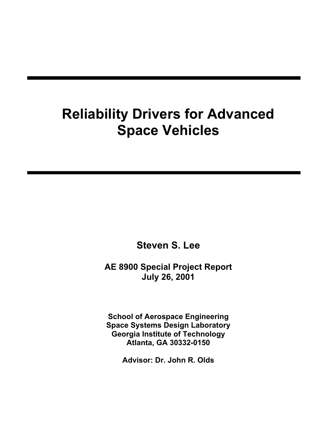# **Reliability Drivers for Advanced Space Vehicles**

**Steven S. Lee**

**AE 8900 Special Project Report July 26, 2001**

**School of Aerospace Engineering Space Systems Design Laboratory Georgia Institute of Technology Atlanta, GA 30332-0150**

**Advisor: Dr. John R. Olds**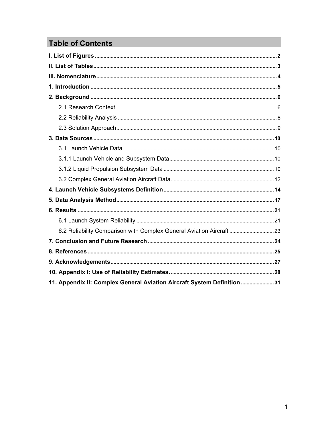# **Table of Contents**

| 6.2 Reliability Comparison with Complex General Aviation Aircraft  23   |  |
|-------------------------------------------------------------------------|--|
|                                                                         |  |
|                                                                         |  |
|                                                                         |  |
|                                                                         |  |
| 11. Appendix II: Complex General Aviation Aircraft System Definition 31 |  |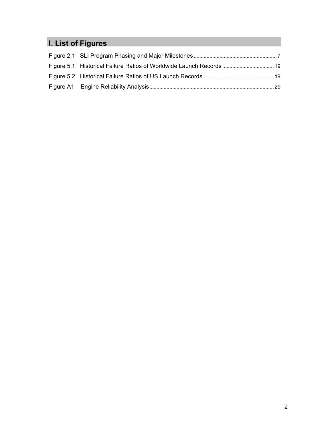# **I. List of Figures**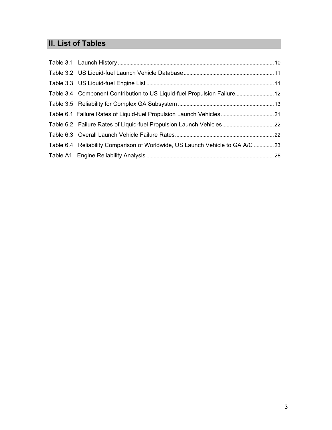# **II. List of Tables**

| Table 3.4 Component Contribution to US Liquid-fuel Propulsion Failure 12      |  |
|-------------------------------------------------------------------------------|--|
|                                                                               |  |
| Table 6.1 Failure Rates of Liquid-fuel Propulsion Launch Vehicles 21          |  |
| Table 6.2 Failure Rates of Liquid-fuel Propulsion Launch Vehicles 22          |  |
|                                                                               |  |
| Table 6.4 Reliability Comparison of Worldwide, US Launch Vehicle to GA A/C 23 |  |
|                                                                               |  |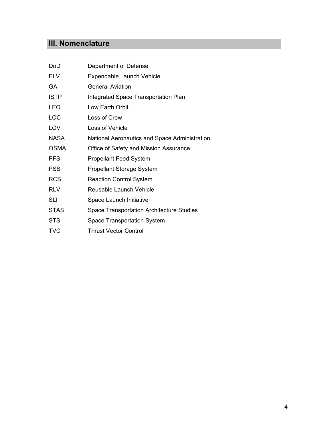# **III. Nomenclature**

| DoD         | Department of Defense                            |
|-------------|--------------------------------------------------|
| <b>ELV</b>  | Expendable Launch Vehicle                        |
| GA          | <b>General Aviation</b>                          |
| <b>ISTP</b> | Integrated Space Transportation Plan             |
| <b>LEO</b>  | Low Earth Orbit                                  |
| LOC         | Loss of Crew                                     |
| LOV         | Loss of Vehicle                                  |
| <b>NASA</b> | National Aeronautics and Space Administration    |
| <b>OSMA</b> | Office of Safety and Mission Assurance           |
| <b>PFS</b>  | <b>Propellant Feed System</b>                    |
| <b>PSS</b>  | <b>Propellant Storage System</b>                 |
| <b>RCS</b>  | <b>Reaction Control System</b>                   |
| <b>RLV</b>  | Reusable Launch Vehicle                          |
| <b>SLI</b>  | Space Launch Initiative                          |
| <b>STAS</b> | <b>Space Transportation Architecture Studies</b> |
| <b>STS</b>  | Space Transportation System                      |
| <b>TVC</b>  | <b>Thrust Vector Control</b>                     |
|             |                                                  |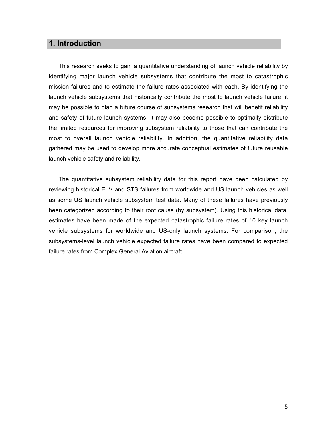# **1. Introduction**

This research seeks to gain a quantitative understanding of launch vehicle reliability by identifying major launch vehicle subsystems that contribute the most to catastrophic mission failures and to estimate the failure rates associated with each. By identifying the launch vehicle subsystems that historically contribute the most to launch vehicle failure, it may be possible to plan a future course of subsystems research that will benefit reliability and safety of future launch systems. It may also become possible to optimally distribute the limited resources for improving subsystem reliability to those that can contribute the most to overall launch vehicle reliability. In addition, the quantitative reliability data gathered may be used to develop more accurate conceptual estimates of future reusable launch vehicle safety and reliability.

The quantitative subsystem reliability data for this report have been calculated by reviewing historical ELV and STS failures from worldwide and US launch vehicles as well as some US launch vehicle subsystem test data. Many of these failures have previously been categorized according to their root cause (by subsystem). Using this historical data, estimates have been made of the expected catastrophic failure rates of 10 key launch vehicle subsystems for worldwide and US-only launch systems. For comparison, the subsystems-level launch vehicle expected failure rates have been compared to expected failure rates from Complex General Aviation aircraft.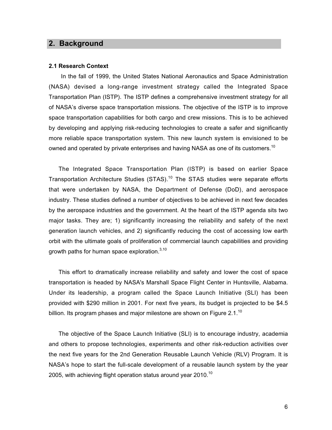## **2. Background**

#### **2.1 Research Context**

In the fall of 1999, the United States National Aeronautics and Space Administration (NASA) devised a long-range investment strategy called the Integrated Space Transportation Plan (ISTP). The ISTP defines a comprehensive investment strategy for all of NASA's diverse space transportation missions. The objective of the ISTP is to improve space transportation capabilities for both cargo and crew missions. This is to be achieved by developing and applying risk-reducing technologies to create a safer and significantly more reliable space transportation system. This new launch system is envisioned to be owned and operated by private enterprises and having NASA as one of its customers.<sup>10</sup>

The Integrated Space Transportation Plan (ISTP) is based on earlier Space Transportation Architecture Studies (STAS).<sup>10</sup> The STAS studies were separate efforts that were undertaken by NASA, the Department of Defense (DoD), and aerospace industry. These studies defined a number of objectives to be achieved in next few decades by the aerospace industries and the government. At the heart of the ISTP agenda sits two major tasks. They are; 1) significantly increasing the reliability and safety of the next generation launch vehicles, and 2) significantly reducing the cost of accessing low earth orbit with the ultimate goals of proliferation of commercial launch capabilities and providing growth paths for human space exploration. $3,10$ 

This effort to dramatically increase reliability and safety and lower the cost of space transportation is headed by NASA's Marshall Space Flight Center in Huntsville, Alabama. Under its leadership, a program called the Space Launch Initiative (SLI) has been provided with \$290 million in 2001. For next five years, its budget is projected to be \$4.5 billion. Its program phases and major milestone are shown on Figure 2.1.<sup>10</sup>

The objective of the Space Launch Initiative (SLI) is to encourage industry, academia and others to propose technologies, experiments and other risk-reduction activities over the next five years for the 2nd Generation Reusable Launch Vehicle (RLV) Program. It is NASA's hope to start the full-scale development of a reusable launch system by the year 2005, with achieving flight operation status around year 2010.<sup>10</sup>

6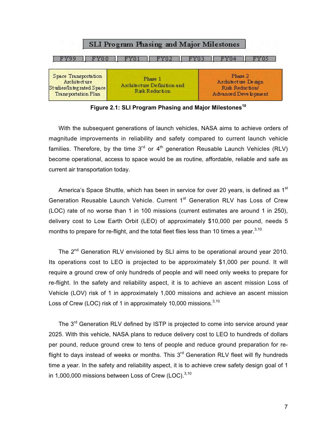| SLI Program Phasing and Major Milestones                                                       |                                                          |                                                                           |  |  |
|------------------------------------------------------------------------------------------------|----------------------------------------------------------|---------------------------------------------------------------------------|--|--|
|                                                                                                |                                                          |                                                                           |  |  |
| Space Transportation<br><b>Architecture</b><br>Studies/Integrated Space<br>Transportation Plan | Phase 1<br>Architecture Definition and<br>Risk Reduction | Phase 2<br>Architecture Design<br>Risk Reduction<br>Advanced Deve b pment |  |  |

Figure 2.1: SLI Program Phasing and Major Milestones<sup>10</sup>

With the subsequent generations of launch vehicles, NASA aims to achieve orders of magnitude improvements in reliability and safety compared to current launch vehicle families. Therefore, by the time  $3<sup>rd</sup>$  or  $4<sup>th</sup>$  generation Reusable Launch Vehicles (RLV) become operational, access to space would be as routine, affordable, reliable and safe as current air transportation today.

America's Space Shuttle, which has been in service for over 20 years, is defined as 1<sup>st</sup> Generation Reusable Launch Vehicle. Current 1<sup>st</sup> Generation RLV has Loss of Crew (LOC) rate of no worse than 1 in 100 missions (current estimates are around 1 in 250), delivery cost to Low Earth Orbit (LEO) of approximately \$10,000 per pound, needs 5 months to prepare for re-flight, and the total fleet flies less than 10 times a year. $3,10$ 

The 2<sup>nd</sup> Generation RLV envisioned by SLI aims to be operational around year 2010. Its operations cost to LEO is projected to be approximately \$1,000 per pound. It will require a ground crew of only hundreds of people and will need only weeks to prepare for re-flight. In the safety and reliability aspect, it is to achieve an ascent mission Loss of Vehicle (LOV) risk of 1 in approximately 1,000 missions and achieve an ascent mission Loss of Crew (LOC) risk of 1 in approximately 10,000 missions.<sup>3,10</sup>

The 3<sup>rd</sup> Generation RLV defined by ISTP is projected to come into service around vear 2025. With this vehicle, NASA plans to reduce delivery cost to LEO to hundreds of dollars per pound, reduce ground crew to tens of people and reduce ground preparation for reflight to days instead of weeks or months. This  $3<sup>rd</sup>$  Generation RLV fleet will fly hundreds time a year. In the safety and reliability aspect, it is to achieve crew safety design goal of 1 in 1,000,000 missions between Loss of Crew (LOC). $^{3,10}$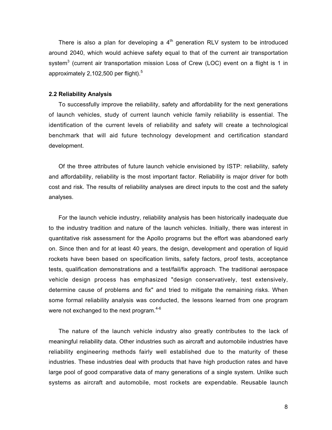There is also a plan for developing a  $4<sup>th</sup>$  generation RLV system to be introduced around 2040, which would achieve safety equal to that of the current air transportation system $^3$  (current air transportation mission Loss of Crew (LOC) event on a flight is 1 in approximately 2,102,500 per flight). $5$ 

#### **2.2 Reliability Analysis**

To successfully improve the reliability, safety and affordability for the next generations of launch vehicles, study of current launch vehicle family reliability is essential. The identification of the current levels of reliability and safety will create a technological benchmark that will aid future technology development and certification standard development.

Of the three attributes of future launch vehicle envisioned by ISTP: reliability, safety and affordability, reliability is the most important factor. Reliability is major driver for both cost and risk. The results of reliability analyses are direct inputs to the cost and the safety analyses.

For the launch vehicle industry, reliability analysis has been historically inadequate due to the industry tradition and nature of the launch vehicles. Initially, there was interest in quantitative risk assessment for the Apollo programs but the effort was abandoned early on. Since then and for at least 40 years, the design, development and operation of liquid rockets have been based on specification limits, safety factors, proof tests, acceptance tests, qualification demonstrations and a test/fail/fix approach. The traditional aerospace vehicle design process has emphasized "design conservatively, test extensively, determine cause of problems and fix" and tried to mitigate the remaining risks. When some formal reliability analysis was conducted, the lessons learned from one program were not exchanged to the next program. $4-6$ 

The nature of the launch vehicle industry also greatly contributes to the lack of meaningful reliability data. Other industries such as aircraft and automobile industries have reliability engineering methods fairly well established due to the maturity of these industries. These industries deal with products that have high production rates and have large pool of good comparative data of many generations of a single system. Unlike such systems as aircraft and automobile, most rockets are expendable. Reusable launch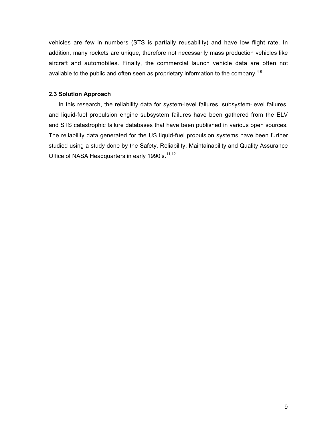vehicles are few in numbers (STS is partially reusability) and have low flight rate. In addition, many rockets are unique, therefore not necessarily mass production vehicles like aircraft and automobiles. Finally, the commercial launch vehicle data are often not available to the public and often seen as proprietary information to the company.<sup>4-6</sup>

#### **2.3 Solution Approach**

In this research, the reliability data for system-level failures, subsystem-level failures, and liquid-fuel propulsion engine subsystem failures have been gathered from the ELV and STS catastrophic failure databases that have been published in various open sources. The reliability data generated for the US liquid-fuel propulsion systems have been further studied using a study done by the Safety, Reliability, Maintainability and Quality Assurance Office of NASA Headquarters in early 1990's.<sup>11,12</sup>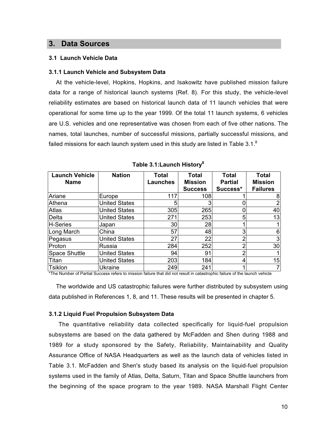### **3. Data Sources**

#### **3.1 Launch Vehicle Data**

#### **3.1.1 Launch Vehicle and Subsystem Data**

At the vehicle-level, Hopkins, Hopkins, and Isakowitz have published mission failure data for a range of historical launch systems (Ref. 8). For this study, the vehicle-level reliability estimates are based on historical launch data of 11 launch vehicles that were operational for some time up to the year 1999. Of the total 11 launch systems, 6 vehicles are U.S. vehicles and one representative was chosen from each of five other nations. The names, total launches, number of successful missions, partially successful missions, and failed missions for each launch system used in this study are listed in Table  $3.1<sup>8</sup>$ 

| <b>Launch Vehicle</b> | <b>Nation</b>        | <b>Total</b>    | <b>Total</b>   | <b>Total</b>   | <b>Total</b>    |
|-----------------------|----------------------|-----------------|----------------|----------------|-----------------|
| <b>Name</b>           |                      | <b>Launches</b> | <b>Mission</b> | <b>Partial</b> | <b>Mission</b>  |
|                       |                      |                 | <b>Success</b> | Success*       | <b>Failures</b> |
| Ariane                | Europe               | 117             | 108            |                |                 |
| Athena                | <b>United States</b> |                 |                |                | 2               |
| Atlas                 | <b>United States</b> | 305             | 265            |                | 40              |
| Delta                 | <b>United States</b> | 271             | 253            |                | 13              |
| H-Series              | Japan                | 30              | 28             |                |                 |
| Long March            | China                | 57              | 48             | 3              | 6               |
| Pegasus               | <b>United States</b> | 27              | 22             |                | 3               |
| Proton                | Russia               | 284             | 252            |                | 30              |
| Space Shuttle         | <b>United States</b> | 94              | 91             |                |                 |
| Titan                 | <b>United States</b> | 203             | 184            |                | 15              |
| Tsiklon               | <b>Ukraine</b>       | 249             | 241            |                |                 |

**Table 3.1:Launch History8**

\*The Number of Partial Success refers to mission failure that did not result in catastrophic failure of the launch vehicle

The worldwide and US catastrophic failures were further distributed by subsystem using data published in References 1, 8, and 11. These results will be presented in chapter 5.

#### **3.1.2 Liquid Fuel Propulsion Subsystem Data**

The quantitative reliability data collected specifically for liquid-fuel propulsion subsystems are based on the data gathered by McFadden and Shen during 1988 and 1989 for a study sponsored by the Safety, Reliability, Maintainability and Quality Assurance Office of NASA Headquarters as well as the launch data of vehicles listed in Table 3.1. McFadden and Shen's study based its analysis on the liquid-fuel propulsion systems used in the family of Atlas, Delta, Saturn, Titan and Space Shuttle launchers from the beginning of the space program to the year 1989. NASA Marshall Flight Center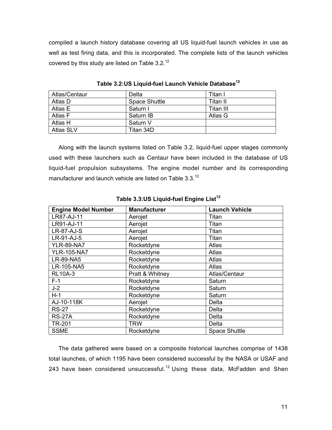compiled a launch history database covering all US liquid-fuel launch vehicles in use as well as test firing data, and this is incorporated. The complete lists of the launch vehicles covered by this study are listed on Table  $3.2^{12}$ 

| Atlas/Centaur    | Delta                | Titan I   |
|------------------|----------------------|-----------|
| Atlas D          | <b>Space Shuttle</b> | Titan II  |
| Atlas E          | Saturn I             | Titan III |
| Atlas F          | Saturn IB            | Atlas G   |
| Atlas H          | Saturn V             |           |
| <b>Atlas SLV</b> | Titan 34D            |           |

**Table 3.2:US Liquid-fuel Launch Vehicle Database<sup>12</sup>**

Along with the launch systems listed on Table 3.2, liquid-fuel upper stages commonly used with these launchers such as Centaur have been included in the database of US liquid-fuel propulsion subsystems. The engine model number and its corresponding manufacturer and launch vehicle are listed on Table 3.3.<sup>12</sup>

| <b>Engine Model Number</b> | <b>Manufacturer</b> | <b>Launch Vehicle</b> |
|----------------------------|---------------------|-----------------------|
| LR87-AJ-11                 | Aerojet             | Titan                 |
| LR91-AJ-11                 | Aerojet             | Titan                 |
| <b>LR-87-AJ-S</b>          | Aerojet             | Titan                 |
| LR-91-AJ-5                 | Aerojet             | Titan                 |
| <b>YLR-89-NA7</b>          | Rocketdyne          | Atlas                 |
| <b>YLR-105-NA7</b>         | Rocketdyne          | Atlas                 |
| LR-89-NA5                  | Rocketdyne          | Atlas                 |
| LR-105-NA5                 | Rocketdyne          | Atlas                 |
| <b>RL10A-3</b>             | Pratt & Whitney     | Atlas/Centaur         |
| $F-1$                      | Rocketdyne          | Saturn                |
| $J-2$                      | Rocketdyne          | Saturn                |
| $H-1$                      | Rocketdyne          | Saturn                |
| AJ-10-118K                 | Aerojet             | Delta                 |
| <b>RS-27</b>               | Rocketdyne          | Delta                 |
| <b>RS-27A</b>              | Rocketdyne          | Delta                 |
| <b>TR-201</b>              | <b>TRW</b>          | Delta                 |
| <b>SSME</b>                | Rocketdyne          | <b>Space Shuttle</b>  |

**Table 3.3:US Liquid-fuel Engine List<sup>12</sup>**

The data gathered were based on a composite historical launches comprise of 1438 total launches, of which 1195 have been considered successful by the NASA or USAF and 243 have been considered unsuccessful.<sup>12</sup> Using these data, McFadden and Shen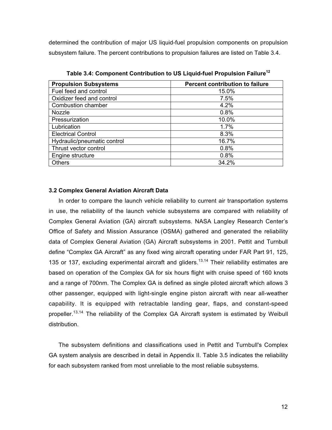determined the contribution of major US liquid-fuel propulsion components on propulsion subsystem failure. The percent contributions to propulsion failures are listed on Table 3.4.

| <b>Propulsion Subsystems</b> | <b>Percent contribution to failure</b> |
|------------------------------|----------------------------------------|
| Fuel feed and control        | 15.0%                                  |
| Oxidizer feed and control    | 7.5%                                   |
| Combustion chamber           | 4.2%                                   |
| Nozzle                       | 0.8%                                   |
| Pressurization               | 10.0%                                  |
| Lubrication                  | 1.7%                                   |
| <b>Electrical Control</b>    | 8.3%                                   |
| Hydraulic/pneumatic control  | 16.7%                                  |
| Thrust vector control        | 0.8%                                   |
| Engine structure             | 0.8%                                   |
| Others                       | 34.2%                                  |

Table 3.4: Component Contribution to US Liquid-fuel Propulsion Failure<sup>12</sup>

#### **3.2 Complex General Aviation Aircraft Data**

In order to compare the launch vehicle reliability to current air transportation systems in use, the reliability of the launch vehicle subsystems are compared with reliability of Complex General Aviation (GA) aircraft subsystems. NASA Langley Research Center's Office of Safety and Mission Assurance (OSMA) gathered and generated the reliability data of Complex General Aviation (GA) Aircraft subsystems in 2001. Pettit and Turnbull define "Complex GA Aircraft" as any fixed wing aircraft operating under FAR Part 91, 125, 135 or 137, excluding experimental aircraft and gliders.<sup>13,14</sup> Their reliability estimates are based on operation of the Complex GA for six hours flight with cruise speed of 160 knots and a range of 700nm. The Complex GA is defined as single piloted aircraft which allows 3 other passenger, equipped with light-single engine piston aircraft with near all-weather capability. It is equipped with retractable landing gear, flaps, and constant-speed propeller.<sup>13,14</sup> The reliability of the Complex GA Aircraft system is estimated by Weibull distribution.

The subsystem definitions and classifications used in Pettit and Turnbull's Complex GA system analysis are described in detail in Appendix II. Table 3.5 indicates the reliability for each subsystem ranked from most unreliable to the most reliable subsystems.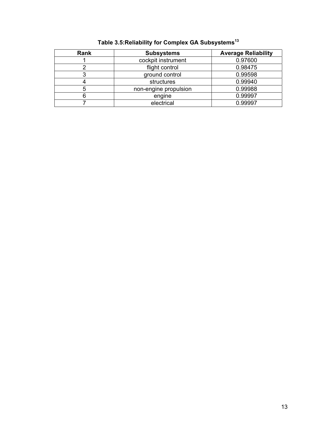| Rank | <b>Subsystems</b>     | <b>Average Reliability</b> |
|------|-----------------------|----------------------------|
|      | cockpit instrument    | 0.97600                    |
|      | flight control        | 0.98475                    |
|      | ground control        | 0.99598                    |
|      | structures            | 0.99940                    |
|      | non-engine propulsion | 0.99988                    |
|      | engine                | 0.99997                    |
|      | electrical            | 0.99997                    |

# **Table 3.5:Reliability for Complex GA Subsystems<sup>13</sup>**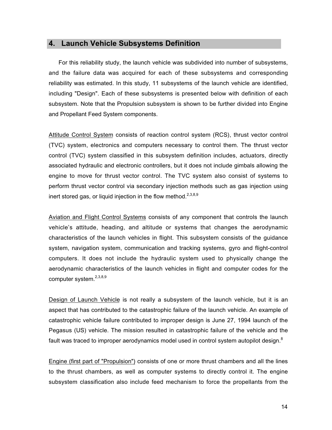## **4. Launch Vehicle Subsystems Definition**

For this reliability study, the launch vehicle was subdivided into number of subsystems, and the failure data was acquired for each of these subsystems and corresponding reliability was estimated. In this study, 11 subsystems of the launch vehicle are identified, including "Design". Each of these subsystems is presented below with definition of each subsystem. Note that the Propulsion subsystem is shown to be further divided into Engine and Propellant Feed System components.

Attitude Control System consists of reaction control system (RCS), thrust vector control (TVC) system, electronics and computers necessary to control them. The thrust vector control (TVC) system classified in this subsystem definition includes, actuators, directly associated hydraulic and electronic controllers, but it does not include gimbals allowing the engine to move for thrust vector control. The TVC system also consist of systems to perform thrust vector control via secondary injection methods such as gas injection using inert stored gas, or liquid injection in the flow method. $2,3,8,9$ 

Aviation and Flight Control Systems consists of any component that controls the launch vehicle's attitude, heading, and altitude or systems that changes the aerodynamic characteristics of the launch vehicles in flight. This subsystem consists of the guidance system, navigation system, communication and tracking systems, gyro and flight-control computers. It does not include the hydraulic system used to physically change the aerodynamic characteristics of the launch vehicles in flight and computer codes for the computer system.<sup>2,3,8,9</sup>

Design of Launch Vehicle is not really a subsystem of the launch vehicle, but it is an aspect that has contributed to the catastrophic failure of the launch vehicle. An example of catastrophic vehicle failure contributed to improper design is June 27, 1994 launch of the Pegasus (US) vehicle. The mission resulted in catastrophic failure of the vehicle and the fault was traced to improper aerodynamics model used in control system autopilot design. $8$ 

Engine (first part of "Propulsion") consists of one or more thrust chambers and all the lines to the thrust chambers, as well as computer systems to directly control it. The engine subsystem classification also include feed mechanism to force the propellants from the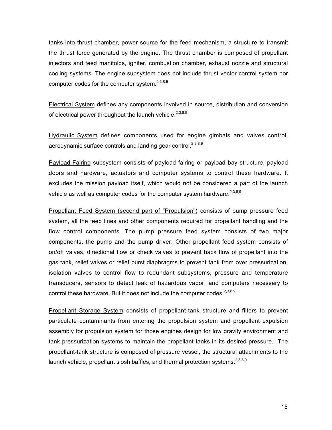tanks into thrust chamber, power source for the feed mechanism, a structure to transmit the thrust force generated by the engine. The thrust chamber is composed of propellant injectors and feed manifolds, igniter, combustion chamber, exhaust nozzle and structural cooling systems. The engine subsystem does not include thrust vector control system nor computer codes for the computer system.<sup>2,3,8,9</sup>

Electrical System defines any components involved in source, distribution and conversion of electrical power throughout the launch vehicle.<sup>2,3,8,9</sup>

Hydraulic System defines components used for engine gimbals and valves control, aerodynamic surface controls and landing gear control.<sup>2,3,8,9</sup>

Payload Fairing subsystem consists of payload fairing or payload bay structure, payload doors and hardware, actuators and computer systems to control these hardware. It excludes the mission payload itself, which would not be considered a part of the launch vehicle as well as computer codes for the computer system hardware. $2,3,8,9$ 

Propellant Feed System (second part of "Propulsion") consists of pump pressure feed system, all the feed lines and other components required for propellant handling and the flow control components. The pump pressure feed system consists of two major components, the pump and the pump driver. Other propellant feed system consists of on/off valves, directional flow or check valves to prevent back flow of propellant into the gas tank, relief valves or relief burst diaphragms to prevent tank from over pressurization, isolation valves to control flow to redundant subsystems, pressure and temperature transducers, sensors to detect leak of hazardous vapor, and computers necessary to control these hardware. But it does not include the computer codes.  $2,3,8,9$ 

**Propellant Storage System** consists of propellant-tank structure and filters to prevent particulate contaminants from entering the propulsion system and propellant expulsion assembly for propulsion system for those engines design for low gravity environment and tank pressurization systems to maintain the propellant tanks in its desired pressure. The propellant-tank structure is composed of pressure vessel, the structural attachments to the launch vehicle, propellant slosh baffles, and thermal protection systems.<sup>2,3,8,9</sup>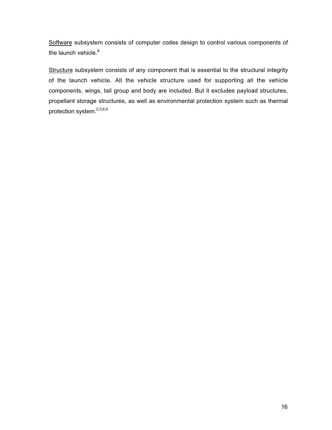Software subsystem consists of computer codes design to control various components of the launch vehicle.<sup>8</sup>

Structure subsystem consists of any component that is essential to the structural integrity of the launch vehicle. All the vehicle structure used for supporting all the vehicle components, wings, tail group and body are included. But it excludes payload structures, propellant storage structures, as well as environmental protection system such as thermal protection system.2,3,8,9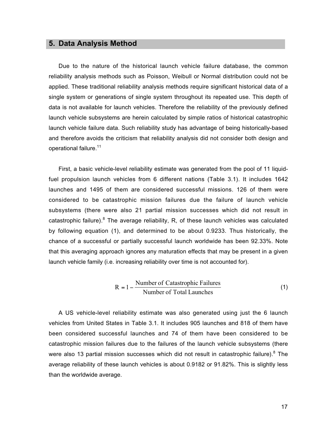# **5. Data Analysis Method**

Due to the nature of the historical launch vehicle failure database, the common reliability analysis methods such as Poisson, Weibull or Normal distribution could not be applied. These traditional reliability analysis methods require significant historical data of a single system or generations of single system throughout its repeated use. This depth of data is not available for launch vehicles. Therefore the reliability of the previously defined launch vehicle subsystems are herein calculated by simple ratios of historical catastrophic launch vehicle failure data. Such reliability study has advantage of being historically-based and therefore avoids the criticism that reliability analysis did not consider both design and operational failure.<sup>11</sup>

First, a basic vehicle-level reliability estimate was generated from the pool of 11 liquidfuel propulsion launch vehicles from 6 different nations (Table 3.1). It includes 1642 launches and 1495 of them are considered successful missions. 126 of them were considered to be catastrophic mission failures due the failure of launch vehicle subsystems (there were also 21 partial mission successes which did not result in catastrophic failure).<sup>8</sup> The average reliability, R, of these launch vehicles was calculated by following equation (1), and determined to be about 0.9233. Thus historically, the chance of a successful or partially successful launch worldwide has been 92.33%. Note that this averaging approach ignores any maturation effects that may be present in a given launch vehicle family (i.e. increasing reliability over time is not accounted for).

$$
R = 1 - \frac{Number of Castasrophic Failure}{Number of Total Launches}
$$
 (1)

A US vehicle-level reliability estimate was also generated using just the 6 launch vehicles from United States in Table 3.1. It includes 905 launches and 818 of them have been considered successful launches and 74 of them have been considered to be catastrophic mission failures due to the failures of the launch vehicle subsystems (there were also 13 partial mission successes which did not result in catastrophic failure). $^8$  The average reliability of these launch vehicles is about 0.9182 or 91.82%. This is slightly less than the worldwide average.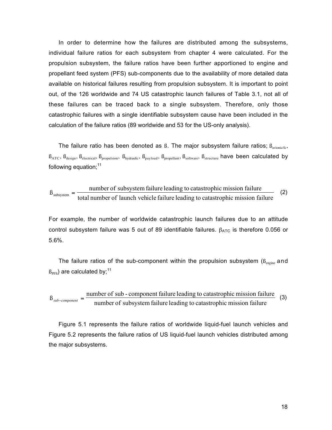In order to determine how the failures are distributed among the subsystems, individual failure ratios for each subsystem from chapter 4 were calculated. For the propulsion subsystem, the failure ratios have been further apportioned to engine and propellant feed system (PFS) sub-components due to the availability of more detailed data available on historical failures resulting from propulsion subsystem. It is important to point out, of the 126 worldwide and 74 US catastrophic launch failures of Table 3.1, not all of these failures can be traced back to a single subsystem. Therefore, only those catastrophic failures with a single identifiable subsystem cause have been included in the calculation of the failure ratios (89 worldwide and 53 for the US-only analysis).

The failure ratio has been denoted as  $\beta$ . The major subsystem failure ratios;  $\beta_{\text{avionic/fc}}$ ,  $B_{\text{ATC}}$ ,  $B_{\text{design}}$ ,  $B_{\text{electrical}}$ ,  $B_{\text{proputation}}$ ,  $B_{\text{hydraulic}}$ ,  $B_{\text{payload}}$ ,  $B_{\text{propellant}}$ ,  $B_{\text{software}}$ ,  $B_{\text{structure}}$  have been calculated by following equation:<sup>11</sup>

$$
\beta_{\text{subsystem}} = \frac{\text{number of subsystem failure leading to catastrophic mission failure}}{\text{total number of launch vehicle failure leading to catastrophic mission failure}} \tag{2}
$$

For example, the number of worldwide catastrophic launch failures due to an attitude control subsystem failure was 5 out of 89 identifiable failures.  $\beta_{\text{ATC}}$  is therefore 0.056 or 5.6%.

The failure ratios of the sub-component within the propulsion subsystem  $(\beta_{\text{engine}})$  and  $(\beta_{\text{PFS}})$  are calculated by;<sup>11</sup>

 $B_{sub-component} = \frac{\text{number of sub-component failure leading to catastrophic mission failure}}{\text{number of subsystem failure leading to catastrophic mission failure}}$  (3)

Figure 5.1 represents the failure ratios of worldwide liquid-fuel launch vehicles and Figure 5.2 represents the failure ratios of US liquid-fuel launch vehicles distributed among the major subsystems.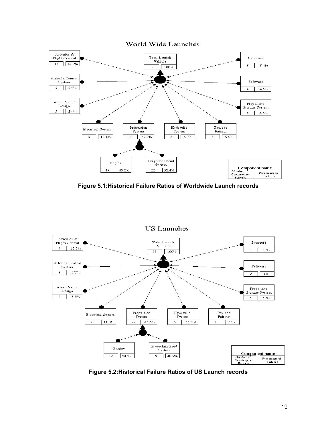

**Figure 5.1:Historical Failure Ratios of Worldwide Launch records**



**Figure 5.2:Historical Failure Ratios of US Launch records**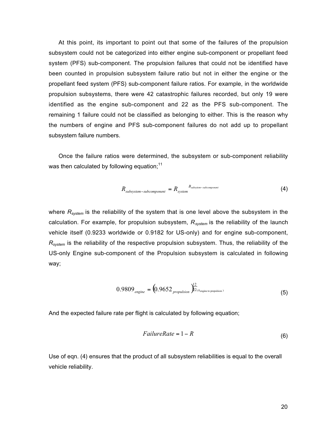At this point, its important to point out that some of the failures of the propulsion subsystem could not be categorized into either engine sub-component or propellant feed system (PFS) sub-component. The propulsion failures that could not be identified have been counted in propulsion subsystem failure ratio but not in either the engine or the propellant feed system (PFS) sub-component failure ratios. For example, in the worldwide propulsion subsystems, there were 42 catastrophic failures recorded, but only 19 were identified as the engine sub-component and 22 as the PFS sub-component. The remaining 1 failure could not be classified as belonging to either. This is the reason why the numbers of engine and PFS sub-component failures do not add up to propellant subsystem failure numbers.

Once the failure ratios were determined, the subsystem or sub-component reliability was then calculated by following equation; $11$ 

$$
R_{subsystem-subcomponent} = R_{system-subcomponent}^{B_{subsystem-subcomponent}} \tag{4}
$$

where  $R_{system}$  is the reliability of the system that is one level above the subsystem in the calculation. For example, for propulsion subsystem,  $R_{system}$  is the reliability of the launch vehicle itself (0.9233 worldwide or 0.9182 for US-only) and for engine sub-component,  $R_{system}$  is the reliability of the respective propulsion subsystem. Thus, the reliability of the US-only Engine sub-component of the Propulsion subsystem is calculated in following way;

$$
0.9809_{\text{engine}} = \left(0.9652_{\text{proputation}}\right)^{\frac{12}{2}}\epsilon_{\text{engine to population}}
$$
\n(5)

And the expected failure rate per flight is calculated by following equation;

$$
FailureRate = 1 - R \tag{6}
$$

Use of eqn. (4) ensures that the product of all subsystem reliabilities is equal to the overall vehicle reliability.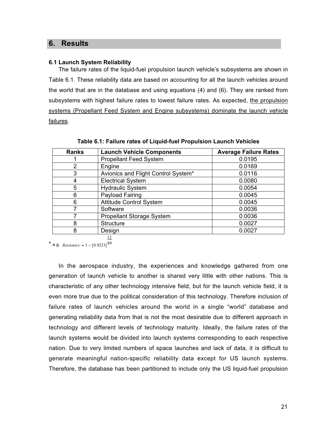### **6. Results**

#### **6.1 Launch System Reliability**

The failure rates of the liquid-fuel propulsion launch vehicle's subsystems are shown in Table 6.1. These reliability data are based on accounting for all the launch vehicles around the world that are in the database and using equations (4) and (6). They are ranked from subsystems with highest failure rates to lowest failure rates. As expected, the propulsion systems (Propellant Feed System and Engine subsystems) dominate the launch vehicle failures.

| <b>Ranks</b>   | <b>Launch Vehicle Components</b>    | <b>Average Failure Rates</b> |
|----------------|-------------------------------------|------------------------------|
|                | <b>Propellant Feed System</b>       | 0.0195                       |
| $\overline{2}$ | Engine                              | 0.0169                       |
| 3              | Avionics and Flight Control System* | 0.0116                       |
| 4              | <b>Electrical System</b>            | 0.0080                       |
| 5              | <b>Hydraulic System</b>             | 0.0054                       |
| 6              | Payload Fairing                     | 0.0045                       |
| 6              | <b>Attitude Control System</b>      | 0.0045                       |
|                | Software                            | 0.0036                       |
|                | <b>Propellant Storage System</b>    | 0.0036                       |
| 8              | <b>Structure</b>                    | 0.0027                       |
| 8              | Design                              | 0.0027                       |

**Table 6.1: Failure rates of Liquid-fuel Propulsion Launch Vehicles**

12

\* e.g.  $Ravionics = 1 - [0.9233]^{89}$ 

In the aerospace industry, the experiences and knowledge gathered from one generation of launch vehicle to another is shared very little with other nations. This is characteristic of any other technology intensive field, but for the launch vehicle field, it is even more true due to the political consideration of this technology. Therefore inclusion of failure rates of launch vehicles around the world in a single "world" database and generating reliability data from that is not the most desirable due to different approach in technology and different levels of technology maturity. Ideally, the failure rates of the launch systems would be divided into launch systems corresponding to each respective nation. Due to very limited numbers of space launches and lack of data, it is difficult to generate meaningful nation-specific reliability data except for US launch systems. Therefore, the database has been partitioned to include only the US liquid-fuel propulsion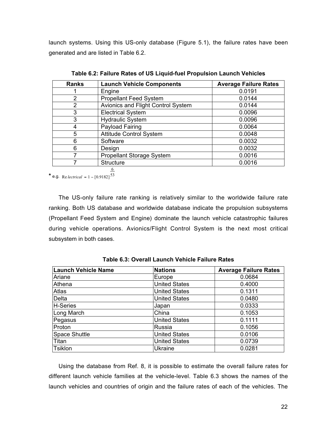launch systems. Using this US-only database (Figure 5.1), the failure rates have been generated and are listed in Table 6.2.

| <b>Ranks</b> | <b>Launch Vehicle Components</b>   | <b>Average Failure Rates</b> |
|--------------|------------------------------------|------------------------------|
|              | Engine                             | 0.0191                       |
| っ            | <b>Propellant Feed System</b>      | 0.0144                       |
| 2            | Avionics and Flight Control System | 0.0144                       |
| 3            | <b>Electrical System</b>           | 0.0096                       |
| 3            | <b>Hydraulic System</b>            | 0.0096                       |
|              | Payload Fairing                    | 0.0064                       |
| 5            | <b>Attitude Control System</b>     | 0.0048                       |
| 6            | Software                           | 0.0032                       |
| 6            | Design                             | 0.0032                       |
|              | Propellant Storage System          | 0.0016                       |
|              | <b>Structure</b>                   | 0.0016                       |

**Table 6.2: Failure Rates of US Liquid-fuel Propulsion Launch Vehicles**

**\*** e.g. Re *lectrical* =  $1 - [0.9182]$ <sup>53</sup>

6

The US-only failure rate ranking is relatively similar to the worldwide failure rate ranking. Both US database and worldwide database indicate the propulsion subsystems (Propellant Feed System and Engine) dominate the launch vehicle catastrophic failures during vehicle operations. Avionics/Flight Control System is the next most critical subsystem in both cases.

| <b>Launch Vehicle Name</b> | <b>Nations</b>       | <b>Average Failure Rates</b> |
|----------------------------|----------------------|------------------------------|
| Ariane                     | Europe               | 0.0684                       |
| Athena                     | <b>United States</b> | 0.4000                       |
| <b>Atlas</b>               | <b>United States</b> | 0.1311                       |
| Delta                      | <b>United States</b> | 0.0480                       |
| H-Series                   | Japan                | 0.0333                       |
| Long March                 | China                | 0.1053                       |
| Pegasus                    | <b>United States</b> | 0.1111                       |
| Proton                     | Russia               | 0.1056                       |
| <b>Space Shuttle</b>       | <b>United States</b> | 0.0106                       |
| Titan                      | <b>United States</b> | 0.0739                       |
| Tsiklon                    | <b>Ukraine</b>       | 0.0281                       |

**Table 6.3: Overall Launch Vehicle Failure Rates**

Using the database from Ref. 8, it is possible to estimate the overall failure rates for different launch vehicle families at the vehicle-level. Table 6.3 shows the names of the launch vehicles and countries of origin and the failure rates of each of the vehicles. The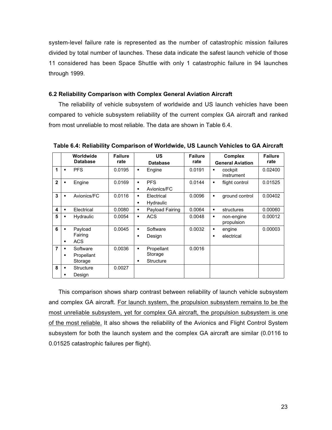system-level failure rate is represented as the number of catastrophic mission failures divided by total number of launches. These data indicate the safest launch vehicle of those 11 considered has been Space Shuttle with only 1 catastrophic failure in 94 launches through 1999.

#### **6.2 Reliability Comparison with Complex General Aviation Aircraft**

The reliability of vehicle subsystem of worldwide and US launch vehicles have been compared to vehicle subsystem reliability of the current complex GA aircraft and ranked from most unreliable to most reliable. The data are shown in Table 6.4.

|                |                                  | Worldwide<br><b>Database</b>      | <b>Failure</b><br>rate |                                  | US<br><b>Database</b>              | <b>Failure</b><br>rate | <b>Complex</b><br><b>General Aviation</b> |                          | <b>Failure</b><br>rate |
|----------------|----------------------------------|-----------------------------------|------------------------|----------------------------------|------------------------------------|------------------------|-------------------------------------------|--------------------------|------------------------|
| 1              | $\blacksquare$                   | <b>PFS</b>                        | 0.0195                 | ٠                                | Engine                             | 0.0191                 | ٠                                         | cockpit<br>instrument    | 0.02400                |
| $\mathbf{2}$   | ٠                                | Engine                            | 0.0169                 | $\blacksquare$<br>$\blacksquare$ | <b>PFS</b><br>Avionics/FC          | 0.0144                 | ٠                                         | flight control           | 0.01525                |
| 3              | $\blacksquare$                   | Avionics/FC                       | 0.0116                 | $\blacksquare$<br>$\blacksquare$ | Electrical<br>Hydraulic            | 0.0096                 | ٠                                         | ground control           | 0.00402                |
| 4              | ٠                                | Electrical                        | 0.0080                 | ٠                                | Payload Fairing                    | 0.0064                 | ٠                                         | structures               | 0.00060                |
| 5              | $\blacksquare$                   | <b>Hydraulic</b>                  | 0.0054                 | $\blacksquare$                   | <b>ACS</b>                         | 0.0048                 | ٠                                         | non-engine<br>propulsion | 0.00012                |
| 6              | $\blacksquare$<br>$\blacksquare$ | Payload<br>Fairing<br><b>ACS</b>  | 0.0045                 | $\blacksquare$<br>$\blacksquare$ | Software<br>Design                 | 0.0032                 | ٠<br>$\blacksquare$                       | engine<br>electrical     | 0.00003                |
| $\overline{7}$ | ٠<br>$\blacksquare$              | Software<br>Propellant<br>Storage | 0.0036                 | ٠<br>٠                           | Propellant<br>Storage<br>Structure | 0.0016                 |                                           |                          |                        |
| 8              | ٠<br>٠                           | Structure<br>Design               | 0.0027                 |                                  |                                    |                        |                                           |                          |                        |

**Table 6.4: Reliability Comparison of Worldwide, US Launch Vehicles to GA Aircraft**

This comparison shows sharp contrast between reliability of launch vehicle subsystem and complex GA aircraft. For launch system, the propulsion subsystem remains to be the most unreliable subsystem, yet for complex GA aircraft, the propulsion subsystem is one of the most reliable. It also shows the reliability of the Avionics and Flight Control System subsystem for both the launch system and the complex GA aircraft are similar (0.0116 to 0.01525 catastrophic failures per flight).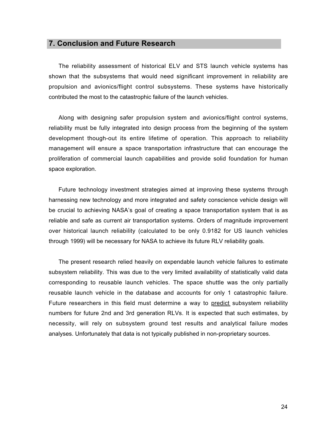### **7. Conclusion and Future Research**

The reliability assessment of historical ELV and STS launch vehicle systems has shown that the subsystems that would need significant improvement in reliability are propulsion and avionics/flight control subsystems. These systems have historically contributed the most to the catastrophic failure of the launch vehicles.

Along with designing safer propulsion system and avionics/flight control systems, reliability must be fully integrated into design process from the beginning of the system development though-out its entire lifetime of operation. This approach to reliability management will ensure a space transportation infrastructure that can encourage the proliferation of commercial launch capabilities and provide solid foundation for human space exploration.

Future technology investment strategies aimed at improving these systems through harnessing new technology and more integrated and safety conscience vehicle design will be crucial to achieving NASA's goal of creating a space transportation system that is as reliable and safe as current air transportation systems. Orders of magnitude improvement over historical launch reliability (calculated to be only 0.9182 for US launch vehicles through 1999) will be necessary for NASA to achieve its future RLV reliability goals.

The present research relied heavily on expendable launch vehicle failures to estimate subsystem reliability. This was due to the very limited availability of statistically valid data corresponding to reusable launch vehicles. The space shuttle was the only partially reusable launch vehicle in the database and accounts for only 1 catastrophic failure. Future researchers in this field must determine a way to predict subsystem reliability numbers for future 2nd and 3rd generation RLVs. It is expected that such estimates, by necessity, will rely on subsystem ground test results and analytical failure modes analyses. Unfortunately that data is not typically published in non-proprietary sources.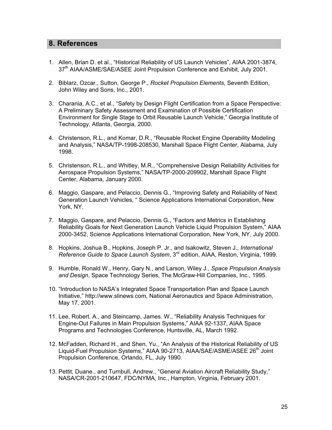### **8. References**

- 1. Allen, Brian D. et al., "Historical Reliability of US Launch Vehicles", AIAA 2001-3874, 37<sup>th</sup> AIAA/ASME/SAE/ASEE Joint Propulsion Conference and Exhibit, July 2001.
- 2. Biblarz, Ozcar., Sutton, George P., Rocket Propulsion Elements, Seventh Edition, John Wiley and Sons, Inc., 2001.
- 3. Charania, A.C., et al., "Safety by Design Flight Certification from a Space Perspective: A Preliminary Safety Assessment and Examination of Possible Certification Environment for Single Stage to Orbit Reusable Launch Vehicle," Georgia Institute of Technology, Atlanta, Georgia, 2000.
- 4. Christenson, R.L., and Komar, D.R., "Reusable Rocket Engine Operability Modeling and Analysis," NASA/TP-1998-208530, Marshall Space Flight Center, Alabama, July 1998.
- 5. Christenson, R.L., and Whitley, M.R., "Comprehensive Design Reliability Activities for Aerospace Propulsion Systems," NASA/TP-2000-209902, Marshall Space Flight Center, Alabama, January 2000.
- 6. Maggio, Gaspare, and Pelaccio, Dennis G., "Improving Safety and Reliability of Next Generation Launch Vehicles, " Science Applications International Corporation, New York, NY.
- 7. Maggio, Gaspare, and Pelaccio, Dennis G., "Factors and Metrics in Establishing Reliability Goals for Next Generation Launch Vehicle Liquid Propulsion System," AIAA 2000-3452, Science Applications International Corporation, New York, NY, July 2000.
- 8. Hopkins, Joshua B., Hopkins, Joseph P. Jr., and Isakowitz, Steven J., International Reference Guide to Space Launch System, 3<sup>rd</sup> edition, AIAA, Reston, Virginia, 1999.
- 9. Humble, Ronald W., Henry, Gary N., and Larson, Wiley J., Space Propulsion Analysis and Design, Space Technology Series, The McGraw-Hill Companies, Inc., 1995.
- 10. "Introduction to NASA's Integrated Space Transportation Plan and Space Launch Initiative," http://www.slinews.com, National Aeronautics and Space Administration, May 17, 2001.
- 11. Lee, Robert. A., and Steincamp, James. W., "Reliability Analysis Techniques for Engine-Out Failures in Main Propulsion Systems," AIAA 92-1337, AIAA Space Programs and Technologies Conference, Huntsville, AL, March 1992.
- 12. McFadden, Richard H., and Shen, Yu., "An Analysis of the Historical Reliability of US Liquid-Fuel Propulsion Systems," AIAA 90-2713, AIAA/SAE/ASME/ASEE 26<sup>th</sup> Joint Propulsion Conference, Orlando, FL, July 1990.
- 13. Pettit, Duane., and Turnbull, Andrew., "General Aviation Aircraft Reliability Study," NASA/CR-2001-210647, FDC/NYMA, Inc., Hampton, Virginia, February 2001.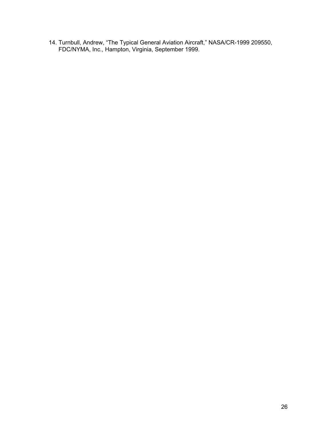14. Turnbull, Andrew, "The Typical General Aviation Aircraft," NASA/CR-1999 209550, FDC/NYMA, Inc., Hampton, Virginia, September 1999.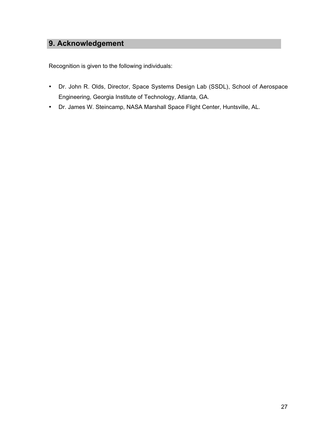# **9. Acknowledgement**

Recognition is given to the following individuals:

- Dr. John R. Olds, Director, Space Systems Design Lab (SSDL), School of Aerospace Engineering, Georgia Institute of Technology, Atlanta, GA.
- Dr. James W. Steincamp, NASA Marshall Space Flight Center, Huntsville, AL.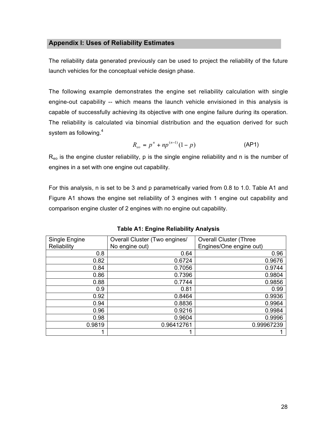### **Appendix I: Uses of Reliability Estimates**

The reliability data generated previously can be used to project the reliability of the future launch vehicles for the conceptual vehicle design phase.

The following example demonstrates the engine set reliability calculation with single engine-out capability -- which means the launch vehicle envisioned in this analysis is capable of successfully achieving its objective with one engine failure during its operation. The reliability is calculated via binomial distribution and the equation derived for such system as following.<sup>4</sup>

$$
R_{eo} = p^n + np^{(n-1)}(1-p)
$$
 (AP1)

 $R_{\text{eo}}$  is the engine cluster reliability, p is the single engine reliability and n is the number of engines in a set with one engine out capability.

For this analysis, n is set to be 3 and p parametrically varied from 0.8 to 1.0. Table A1 and Figure A1 shows the engine set reliability of 3 engines with 1 engine out capability and comparison engine cluster of 2 engines with no engine out capability.

| Single Engine | Overall Cluster (Two engines/ | <b>Overall Cluster (Three</b> |
|---------------|-------------------------------|-------------------------------|
| Reliability   | No engine out)                | Engines/One engine out)       |
| 0.8           | 0.64                          | 0.96                          |
| 0.82          | 0.6724                        | 0.9676                        |
| 0.84          | 0.7056                        | 0.9744                        |
| 0.86          | 0.7396                        | 0.9804                        |
| 0.88          | 0.7744                        | 0.9856                        |
| 0.9           | 0.81                          | 0.99                          |
| 0.92          | 0.8464                        | 0.9936                        |
| 0.94          | 0.8836                        | 0.9964                        |
| 0.96          | 0.9216                        | 0.9984                        |
| 0.98          | 0.9604                        | 0.9996                        |
| 0.9819        | 0.96412761                    | 0.99967239                    |
|               |                               |                               |

**Table A1: Engine Reliability Analysis**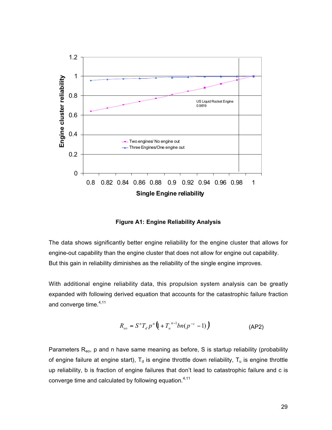

**Figure A1: Engine Reliability Analysis**

The data shows significantly better engine reliability for the engine cluster that allows for engine-out capability than the engine cluster that does not allow for engine out capability. But this gain in reliability diminishes as the reliability of the single engine improves.

With additional engine reliability data, this propulsion system analysis can be greatly expanded with following derived equation that accounts for the catastrophic failure fraction and converge time.<sup>4,11</sup>

$$
R_{eo} = S^{n}T_{d} p^{n} \left( 1 + T_{u}^{n-1} b n (p^{-c} - 1) \right)
$$
 (AP2)

Parameters  $R_{eo}$ , p and n have same meaning as before, S is startup reliability (probability of engine failure at engine start),  $T_d$  is engine throttle down reliability,  $T_u$  is engine throttle up reliability, b is fraction of engine failures that don't lead to catastrophic failure and c is converge time and calculated by following equation.<sup>4,11</sup>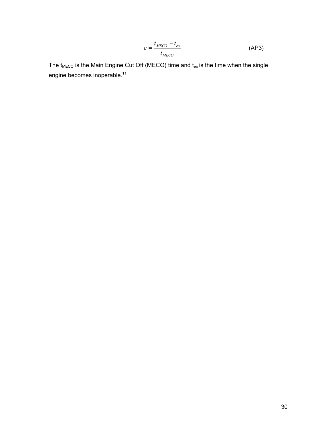$$
c = \frac{t_{MECO} - t_{eo}}{t_{MECO}}
$$
 (AP3)

The  $t_{\text{MECO}}$  is the Main Engine Cut Off (MECO) time and  $t_{\text{eo}}$  is the time when the single engine becomes inoperable.<sup>11</sup>